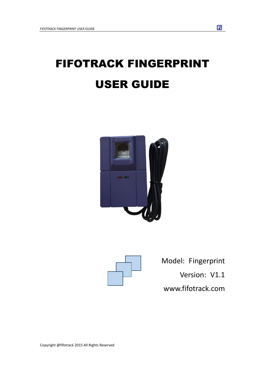# FIFOTRACK FINGERPRINT USER GUIDE





Model: Fingerprint Version: V1.1 www.fifotrack.com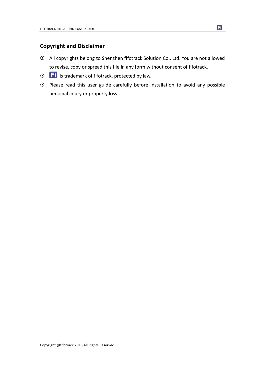# **Copyright and Disclaimer**

- All copyrights belong to Shenzhen fifotrack Solution Co., Ltd. You are not allowed to revise, copy or spread this file in any form without consent of fifotrack.
- $\circ$   $\Box$  is trademark of fifotrack, protected by law.
- Please read this user guide carefully before installation to avoid any possible personal injury or property loss.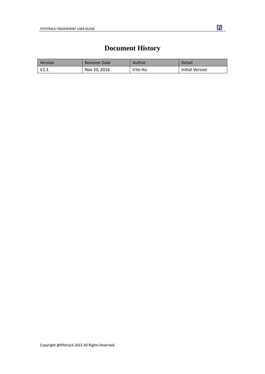# Fi

# **Document History**

<span id="page-2-0"></span>

| <b>Version</b> | <b>Revision Date</b> | Author  | Detail          |
|----------------|----------------------|---------|-----------------|
| V1.1           | Nov 10, 2016         | Vito Hu | Initial Version |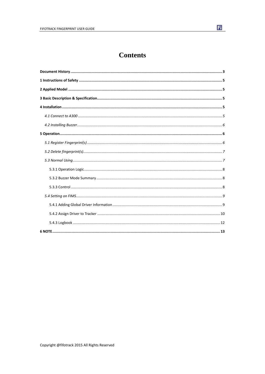# **Contents**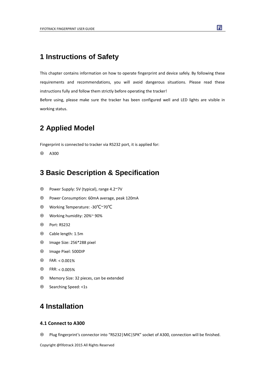# <span id="page-4-0"></span>**1 Instructions of Safety**

This chapter contains information on how to operate fingerprint and device safely. By following these requirements and recommendations, you will avoid dangerous situations. Please read these instructions fully and follow them strictly before operating the tracker!

Before using, please make sure the tracker has been configured well and LED lights are visible in working status.

# <span id="page-4-1"></span>**2 Applied Model**

Fingerprint is connected to tracker via RS232 port, it is applied for:

<span id="page-4-2"></span> $\odot$  A300

# **3 Basic Description & Specification**

- Power Supply: 5V (typical), range 4.2~7V
- Power Consumption: 60mA average, peak 120mA
- Working Temperature: -30℃~70℃
- Working humidity: 20%~ 90%
- Port: RS232
- Cable length: 1.5m
- Image Size: 256\*288 pixel
- Image Pixel: 500DIP
- $\odot$  FAR: < 0.001%
- $\odot$  FRR: < 0.005%
- Memory Size: 32 pieces, can be extended
- <span id="page-4-3"></span>Searching Speed: <1s

# **4 Installation**

### <span id="page-4-4"></span>**4.1 Connect to A300**

Plug fingerprint's connector into "RS232|MIC|SPK" socket of A300, connection will be finished.

Copyright @fifotrack 2015 All Rights Reserved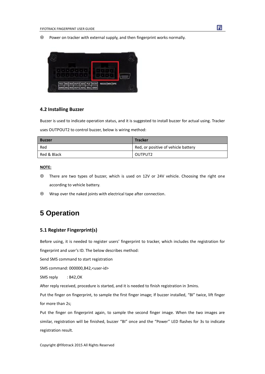Power on tracker with external supply, and then fingerprint works normally.



## <span id="page-5-0"></span>**4.2 Installing Buzzer**

Buzzer is used to indicate operation status, and it is suggested to install buzzer for actual using. Tracker uses OUTPOUT2 to control buzzer, below is wiring method:

| <b>Buzzer</b> | <b>Tracker</b>                      |
|---------------|-------------------------------------|
| Red           | Red, or positive of vehicle battery |
| Red & Black   | OUTPUT2                             |

### **NOTE:**

- There are two types of buzzer, which is used on 12V or 24V vehicle. Choosing the right one according to vehicle battery.
- <span id="page-5-1"></span>Wrap over the naked joints with electrical tape after connection.

# **5 Operation**

### <span id="page-5-2"></span>**5.1 Register Fingerprint(s)**

Before using, it is needed to register users' fingerprint to tracker, which includes the registration for

fingerprint and user's ID. The below describes method:

Send SMS command to start registration

SMS command: 000000,B42,<user-id>

SMS reply : B42,OK

After reply received, procedure is started, and it is needed to finish registration in 3mins.

Put the finger on fingerprint, to sample the first finger image; If buzzer installed, "BI" twice, lift finger for more than 2s;

Put the finger on fingerprint again, to sample the second finger image. When the two images are similar, registration will be finished, buzzer "BI" once and the "Power" LED flashes for 3s to indicate registration result.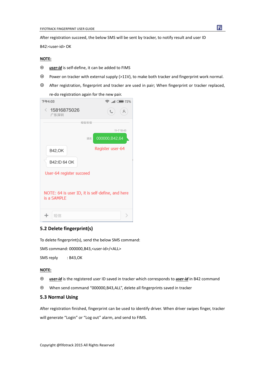After registration succeed, the below SMS will be sent by tracker, to notify result and user ID

B42:<user-id> OK

### **NOTE:**

- *user-id* is self-define, it can be added to FIMS
- Power on tracker with external supply (>11V), to make both tracker and fingerprint work normal.
- After registration, fingerprint and tracker are used in pair; When fingerprint or tracker replaced,

re-do registration again for the new pair.

| 下午4:03                                                          | $\widehat{\mathbb{R}}$ and $\widehat{\mathbb{R}}$ 72% |
|-----------------------------------------------------------------|-------------------------------------------------------|
| $\langle 15816875026$<br>广东深圳                                   | L<br>Α                                                |
| 短信/彩信                                                           |                                                       |
|                                                                 | $11 - 710:43$                                         |
| 送达                                                              | 000000, B42, 64                                       |
| <b>B42,OK</b>                                                   | Register user-64                                      |
| B42:ID 64 OK                                                    |                                                       |
| User-64 register succeed                                        |                                                       |
| NOTE: 64 is user ID, it is self-define, and here<br>is a SAMPLE |                                                       |
| 短信                                                              |                                                       |

## <span id="page-6-0"></span>**5.2 Delete fingerprint(s)**

To delete fingerprint(s), send the below SMS command:

SMS command: 000000,B43,<user-id>/<ALL>

SMS reply : B43,OK

#### **NOTE:**

- *user-id* is the registered user ID saved in tracker which corresponds to *user-id* in B42 command
- When send command "000000,B43,ALL", delete all fingerprints saved in tracker

### <span id="page-6-1"></span>**5.3 Normal Using**

After registration finished, fingerprint can be used to identify driver. When driver swipes finger, tracker will generate "Login" or "Log out" alarm, and send to FIMS.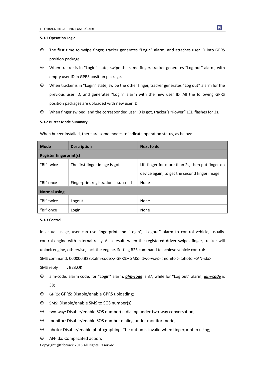#### <span id="page-7-0"></span>**5.3.1 Operation Logic**

- The first time to swipe finger, tracker generates "Login" alarm, and attaches user ID into GPRS position package.
- When tracker is in "Login" state, swipe the same finger, tracker generates "Log out" alarm, with empty user ID in GPRS position package.
- When tracker is in "Login" state, swipe the other finger, tracker generates "Log out" alarm for the previous user ID, and generates "Login" alarm with the new user ID. All the following GPRS position packages are uploaded with new user ID.
- When finger swiped, and the corresponded user ID is got, tracker's "Power" LED flashes for 3s.

#### <span id="page-7-1"></span>**5.3.2 Buzzer Mode Summary**

When buzzer installed, there are some modes to indicate operation status, as below:

| <b>Mode</b>                    | <b>Description</b>                  | Next to do                                       |  |  |  |  |  |
|--------------------------------|-------------------------------------|--------------------------------------------------|--|--|--|--|--|
| <b>Register fingerprint(s)</b> |                                     |                                                  |  |  |  |  |  |
| "BI" twice                     | The first finger image is got       | Lift finger for more than 2s, then put finger on |  |  |  |  |  |
|                                |                                     | device again, to get the second finger image     |  |  |  |  |  |
| "Bl" once                      | Fingerprint registration is succeed | None                                             |  |  |  |  |  |
| <b>Normal using</b>            |                                     |                                                  |  |  |  |  |  |
| "BI" twice                     | Logout                              | None                                             |  |  |  |  |  |
| "Bl" once                      | Login                               | None                                             |  |  |  |  |  |

#### <span id="page-7-2"></span>**5.3.3 Control**

In actual usage, user can use fingerprint and "Login", "Logout" alarm to control vehicle, usually, control engine with external relay. As a result, when the registered driver swipes finger, tracker will unlock engine, otherwise, lock the engine. Setting B23 command to achieve vehicle control: SMS command: 000000,B23,<alm-code>,<GPRS><SMS><two-way><monitor><photo><AN-idx> SMS reply : B23,OK

- alm-code: alarm code, for "Login" alarm, *alm-code* is 37, while for "Log out" alarm, *alm-code* is 38;
- GPRS: GPRS: Disable/enable GPRS uploading;
- SMS: Disable/enable SMS to SOS number(s);
- two-way: Disable/enable SOS number(s) dialing under two-way conversation;
- monitor: Disable/enable SOS number dialing under monitor mode;
- photo: Disable/enable photographing; The option is invalid when fingerprint in using;
- AN-idx: Complicated action;

Copyright @fifotrack 2015 All Rights Reserved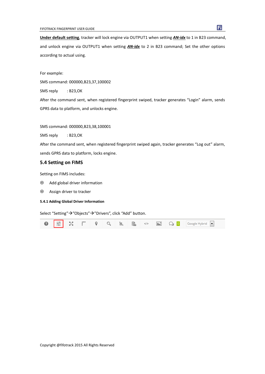**Under default setting**, tracker will lock engine via OUTPUT1 when setting *AN-idx* to 1 in B23 command, and unlock engine via OUTPUT1 when setting **AN-idx** to 2 in B23 command; Set the other options according to actual using.

For example:

SMS command: 000000,B23,37,100002

SMS reply : B23,OK

After the command sent, when registered fingerprint swiped, tracker generates "Login" alarm, sends GPRS data to platform, and unlocks engine.

SMS command: 000000,B23,38,100001

SMS reply : B23,OK

After the command sent, when registered fingerprint swiped again, tracker generates "Log out" alarm, sends GPRS data to platform, locks engine.

### <span id="page-8-0"></span>**5.4 Setting on FIMS**

Setting on FIMS includes:

- Add global driver information
- Assign driver to tracker

### <span id="page-8-1"></span>**5.4.1 Adding Global Driver Information**

Select "Setting" → "Objects" → "Drivers", click "Add" button.

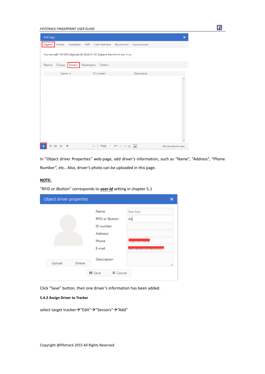| FIFOTRACK FINGERPRINT USER GUIDE                                              |                              |                                            |                           |
|-------------------------------------------------------------------------------|------------------------------|--------------------------------------------|---------------------------|
| <b>Settings</b>                                                               |                              |                                            | $\boldsymbol{\mathsf{x}}$ |
| Objects<br>Events                                                             | Templates SMS User interface | My account<br>Sub accounts                 |                           |
| You can add 100 GPS object(s) till 2026-07-31. Expand this limit in our shop. |                              |                                            |                           |
| Objects<br>Groups<br>Drivers                                                  | Passengers<br>Trailers       |                                            |                           |
| Name $\land$                                                                  | ID number                    | Description                                |                           |
|                                                                               |                              |                                            |                           |
| $\circ$ $\circ$<br>$\mathsf{x}$<br>ఆ                                          |                              | $1 < 2$ Page 1 of 1 > > 1 50 $\rightarrow$ | No records to view        |

Fi

In "Object driver Properties" web-page, add driver's information, such as "Name", "Address", "Phone Number", etc.. Also, driver's photo can be uploaded in this page.

# **NOTE:**

"RFID or iButton" corresponds to *user-id* setting in chapter 5.1

| Object driver properties |                                | ×                                  |
|--------------------------|--------------------------------|------------------------------------|
|                          | Name<br><b>RFID or iButton</b> | Kan Fan<br>64                      |
|                          | ID number                      |                                    |
|                          | Address                        |                                    |
|                          | Phone                          | <b>TUO I ZA I USILE</b>            |
|                          | E-mail                         | <b>Mathia Hills and Activities</b> |
| Upload<br>Delete         | Description                    | 1,                                 |
|                          | ■ Save<br>X Cancel             |                                    |

Click "Save" button, then one driver's information has been added.

### <span id="page-9-0"></span>**5.4.2 Assign Driver to Tracker**

select target tracker $\rightarrow$ "Edit" $\rightarrow$ "Sensors" $\rightarrow$ "Add"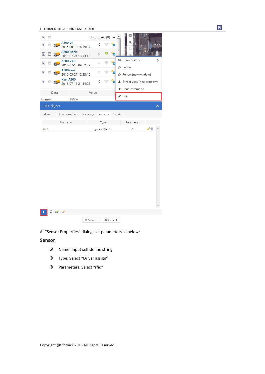FIFOTRACK FINGERPRINT USER GUIDE

| $\overline{\mathcal{A}}$<br>П |                                        | Ungrouped (9) |                |          |  |         | ю                                 |  |   |
|-------------------------------|----------------------------------------|---------------|----------------|----------|--|---------|-----------------------------------|--|---|
| $\overline{\mathsf{v}}$       | A100-BF<br>2016-06-18 16:49:39         |               | 0              |          |  |         | 風                                 |  |   |
| $\overline{\mathsf{v}}$       | A300-Rock<br>2016-07-21 18:13:12       |               | 0              |          |  | Ξ       |                                   |  |   |
| ⊽                             | A300-Vito<br>2016-07-13 09:52:59       |               | 0              |          |  |         | <b>Show history</b>               |  | ⋋ |
| $\overline{\mathcal{A}}$      | A300-test<br>2016-05-27 12:33:45       |               | 0              | e        |  |         | O Follow<br>O Follow (new window) |  |   |
| ⊽                             | <b>Kan_A300</b><br>2016-07-11 21:54:28 |               | 0              |          |  |         | 也 Street view (new window)        |  |   |
| Data                          |                                        | Value         |                |          |  |         | Send command                      |  |   |
| Altitude                      | 129 <sub>m</sub>                       |               |                |          |  |         | $\mathscr{O}$ Edit                |  |   |
| Edit object                   |                                        |               |                |          |  |         |                                   |  | × |
| Main                          | Fuel consumption                       | Accuracy      |                | Sensors  |  | Service |                                   |  |   |
|                               | Name $\wedge$                          |               |                | Type     |  |         | Parameter                         |  |   |
| <b>ACC</b>                    |                                        |               | Ignition (ACC) |          |  |         | ↗面<br>di1                         |  |   |
|                               |                                        |               |                |          |  |         |                                   |  |   |
| ✑                             | $\overline{a}$                         |               |                |          |  |         |                                   |  |   |
|                               |                                        | ■ Save        |                | X Cancel |  |         |                                   |  |   |

At "Sensor Properties" dialog, set parameters as below:

# **Sensor**

- Name: Input self-define string
- Type: Select "Driver assign"
- Parameters: Select "rfid"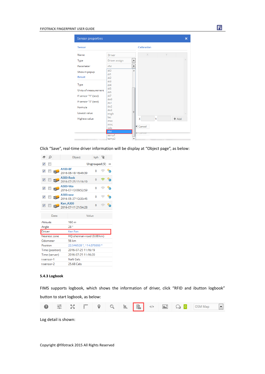#### FIFOTRACK FINGERPRINT USER GUIDE

| Sensor properties                                                            |                                                           |                                                         | × |
|------------------------------------------------------------------------------|-----------------------------------------------------------|---------------------------------------------------------|---|
| Sensor                                                                       |                                                           | Calibration                                             |   |
| Name                                                                         | Driver                                                    | X<br>γ                                                  |   |
| Type                                                                         | Driver assign<br>▼                                        |                                                         |   |
| Parameter                                                                    | ۳<br>rfid                                                 |                                                         |   |
| Show in popup<br>Result                                                      | di0<br>▲<br>di1<br>di2                                    |                                                         |   |
| Type<br>Units of measurement<br>If sensor "1" (text)<br>If sensor "0" (text) | di3<br>di4<br>di5<br>di <sub>6</sub><br>di7<br>do0<br>do1 |                                                         |   |
| Formula                                                                      | do2                                                       |                                                         |   |
| Lowest value                                                                 | do3<br>Ξ<br>engh                                          |                                                         |   |
| <b>Highest value</b>                                                         | lac<br>mcc<br>mnc<br>odo<br>rfid<br>temp1<br>temp2        | X<br>Y<br>$+$ Add<br><b>X</b> Cancel<br><b>X</b> Cancel |   |

Ei I

Click "Save", real-time driver information will be display at "Object page", as below:

|                          | Ω                        |                 |                 | Object                           | kph ②         |  |  |  |  |  |
|--------------------------|--------------------------|-----------------|-----------------|----------------------------------|---------------|--|--|--|--|--|
| $\overline{\mathsf{v}}$  | П                        |                 |                 |                                  | Ungrouped (9) |  |  |  |  |  |
| $\overline{\mathbf{v}}$  |                          |                 | A100-BF         | 2016-06-18 16:49:39              | n             |  |  |  |  |  |
| $\overline{\mathbf{v}}$  | П                        |                 |                 | A300-Rock<br>2016-07-25 11:16:19 | O             |  |  |  |  |  |
| $\overline{\mathbf{v}}$  | $\overline{\phantom{a}}$ |                 | A300-Vito       | 2016-07-13 09:52:59              | o             |  |  |  |  |  |
| $\overline{\mathcal{J}}$ |                          |                 | A300-test       | 2016-05-27 12:33:45              | o             |  |  |  |  |  |
| $\overline{\mathbf{v}}$  | n                        |                 | <b>Kan A300</b> | 2016-07-11 21:54:28              | $\Omega$      |  |  |  |  |  |
| Data                     |                          |                 |                 | Value                            |               |  |  |  |  |  |
|                          |                          |                 |                 |                                  |               |  |  |  |  |  |
| Altitude<br>Angle        |                          |                 |                 | 160 <sub>m</sub><br>28°          |               |  |  |  |  |  |
| Driver                   |                          |                 |                 | Kan Fan                          |               |  |  |  |  |  |
|                          |                          | Nearest zone    |                 | HQ-shennan-road (0.08 km)        |               |  |  |  |  |  |
|                          | Odometer                 |                 |                 | 56 km                            |               |  |  |  |  |  |
| Position                 |                          |                 |                 | 22.546528 °, 114.079393 °        |               |  |  |  |  |  |
|                          |                          | Time (position) |                 | 2016-07-25 11:16:19              |               |  |  |  |  |  |
|                          |                          | Time (server)   |                 | 2016-07-25 11:16:20              |               |  |  |  |  |  |
| t-sensor-1               |                          |                 |                 | <b>NaN Cels</b>                  |               |  |  |  |  |  |

## <span id="page-11-0"></span>**5.4.3 Logbook**

FIMS supports logbook, which shows the information of driver, click "RFID and ibutton logbook" button to start logbook, as below:



Log detail is shown: